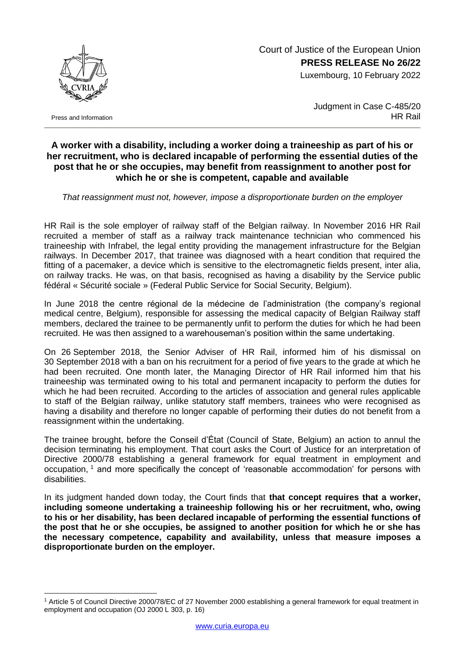Court of Justice of the European Union **PRESS RELEASE No 26/22**

Luxembourg, 10 February 2022



1

Judgment in Case C-485/20 HR Rail

## **A worker with a disability, including a worker doing a traineeship as part of his or her recruitment, who is declared incapable of performing the essential duties of the post that he or she occupies, may benefit from reassignment to another post for which he or she is competent, capable and available**

*That reassignment must not, however, impose a disproportionate burden on the employer*

HR Rail is the sole employer of railway staff of the Belgian railway. In November 2016 HR Rail recruited a member of staff as a railway track maintenance technician who commenced his traineeship with Infrabel, the legal entity providing the management infrastructure for the Belgian railways. In December 2017, that trainee was diagnosed with a heart condition that required the fitting of a pacemaker, a device which is sensitive to the electromagnetic fields present, inter alia, on railway tracks. He was, on that basis, recognised as having a disability by the Service public fédéral « Sécurité sociale » (Federal Public Service for Social Security, Belgium).

In June 2018 the centre régional de la médecine de l'administration (the company's regional medical centre, Belgium), responsible for assessing the medical capacity of Belgian Railway staff members, declared the trainee to be permanently unfit to perform the duties for which he had been recruited. He was then assigned to a warehouseman's position within the same undertaking.

On 26 September 2018, the Senior Adviser of HR Rail, informed him of his dismissal on 30 September 2018 with a ban on his recruitment for a period of five years to the grade at which he had been recruited. One month later, the Managing Director of HR Rail informed him that his traineeship was terminated owing to his total and permanent incapacity to perform the duties for which he had been recruited. According to the articles of association and general rules applicable to staff of the Belgian railway, unlike statutory staff members, trainees who were recognised as having a disability and therefore no longer capable of performing their duties do not benefit from a reassignment within the undertaking.

The trainee brought, before the Conseil d'État (Council of State, Belgium) an action to annul the decision terminating his employment. That court asks the Court of Justice for an interpretation of Directive 2000/78 establishing a general framework for equal treatment in employment and occupation, <sup>1</sup> and more specifically the concept of 'reasonable accommodation' for persons with disabilities.

In its judgment handed down today, the Court finds that **that concept requires that a worker, including someone undertaking a traineeship following his or her recruitment, who, owing to his or her disability, has been declared incapable of performing the essential functions of the post that he or she occupies, be assigned to another position for which he or she has the necessary competence, capability and availability, unless that measure imposes a disproportionate burden on the employer.**

<sup>1</sup> Article 5 of Council Directive 2000/78/EC of 27 November 2000 establishing a general framework for equal treatment in employment and occupation (OJ 2000 L 303, p. 16)